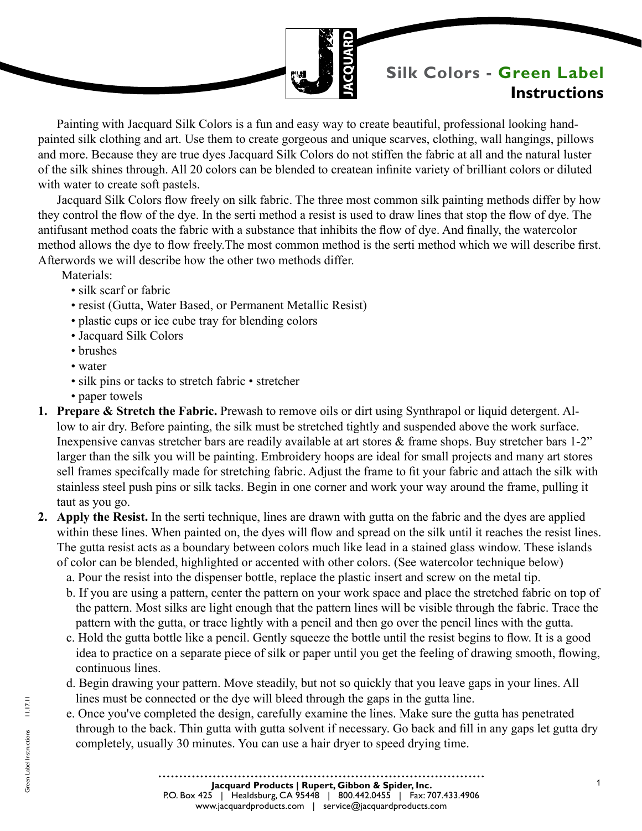

# **Silk Colors - Green Label Instructions**

Painting with Jacquard Silk Colors is a fun and easy way to create beautiful, professional looking handpainted silk clothing and art. Use them to create gorgeous and unique scarves, clothing, wall hangings, pillows and more. Because they are true dyes Jacquard Silk Colors do not stiffen the fabric at all and the natural luster of the silk shines through. All 20 colors can be blended to createan infinite variety of brilliant colors or diluted with water to create soft pastels.

Jacquard Silk Colors flow freely on silk fabric. The three most common silk painting methods differ by how they control the flow of the dye. In the serti method a resist is used to draw lines that stop the flow of dye. The antifusant method coats the fabric with a substance that inhibits the flow of dye. And finally, the watercolor method allows the dye to flow freely.The most common method is the serti method which we will describe first. Afterwords we will describe how the other two methods differ.

Materials<sup>.</sup>

- silk scarf or fabric
- resist (Gutta, Water Based, or Permanent Metallic Resist)
- plastic cups or ice cube tray for blending colors
- Jacquard Silk Colors
- brushes
- water
- silk pins or tacks to stretch fabric stretcher
- paper towels
- **1. Prepare & Stretch the Fabric.** Prewash to remove oils or dirt using Synthrapol or liquid detergent. Allow to air dry. Before painting, the silk must be stretched tightly and suspended above the work surface. Inexpensive canvas stretcher bars are readily available at art stores  $\&$  frame shops. Buy stretcher bars 1-2" larger than the silk you will be painting. Embroidery hoops are ideal for small projects and many art stores sell frames specifcally made for stretching fabric. Adjust the frame to fit your fabric and attach the silk with stainless steel push pins or silk tacks. Begin in one corner and work your way around the frame, pulling it taut as you go.
- **2. Apply the Resist.** In the serti technique, lines are drawn with gutta on the fabric and the dyes are applied within these lines. When painted on, the dyes will flow and spread on the silk until it reaches the resist lines. The gutta resist acts as a boundary between colors much like lead in a stained glass window. These islands of color can be blended, highlighted or accented with other colors. (See watercolor technique below)
	- a. Pour the resist into the dispenser bottle, replace the plastic insert and screw on the metal tip.
	- b. If you are using a pattern, center the pattern on your work space and place the stretched fabric on top of the pattern. Most silks are light enough that the pattern lines will be visible through the fabric. Trace the pattern with the gutta, or trace lightly with a pencil and then go over the pencil lines with the gutta.
	- c. Hold the gutta bottle like a pencil. Gently squeeze the bottle until the resist begins to flow. It is a good idea to practice on a separate piece of silk or paper until you get the feeling of drawing smooth, flowing, continuous lines.
	- d. Begin drawing your pattern. Move steadily, but not so quickly that you leave gaps in your lines. All lines must be connected or the dye will bleed through the gaps in the gutta line.
	- e. Once you've completed the design, carefully examine the lines. Make sure the gutta has penetrated through to the back. Thin gutta with gutta solvent if necessary. Go back and fill in any gaps let gutta dry completely, usually 30 minutes. You can use a hair dryer to speed drying time.

Green Label Instructions 11.17.11

Green Label Instructions

 $11.17.11$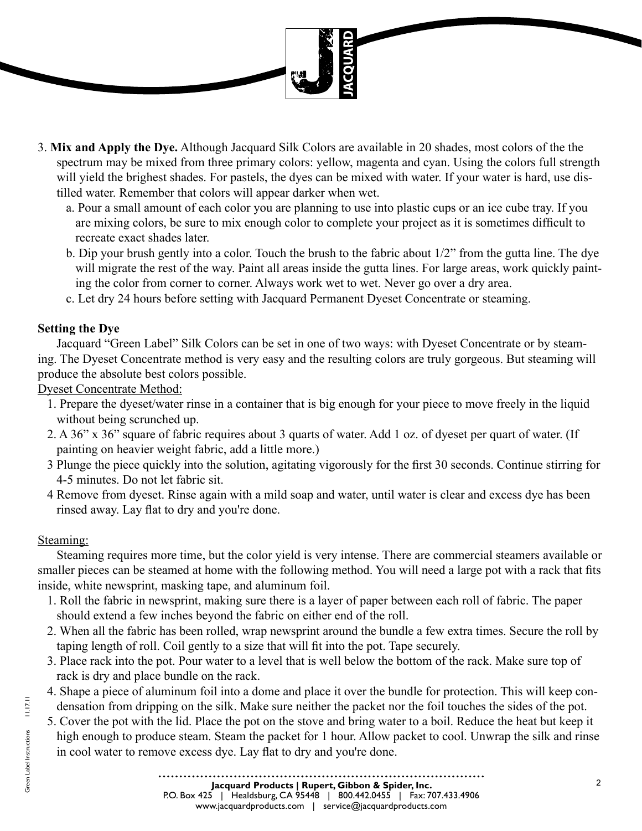

- 3. **Mix and Apply the Dye.** Although Jacquard Silk Colors are available in 20 shades, most colors of the the spectrum may be mixed from three primary colors: yellow, magenta and cyan. Using the colors full strength will yield the brighest shades. For pastels, the dyes can be mixed with water. If your water is hard, use distilled water. Remember that colors will appear darker when wet.
	- a. Pour a small amount of each color you are planning to use into plastic cups or an ice cube tray. If you are mixing colors, be sure to mix enough color to complete your project as it is sometimes difficult to recreate exact shades later.
	- b. Dip your brush gently into a color. Touch the brush to the fabric about 1/2" from the gutta line. The dye will migrate the rest of the way. Paint all areas inside the gutta lines. For large areas, work quickly painting the color from corner to corner. Always work wet to wet. Never go over a dry area.
	- c. Let dry 24 hours before setting with Jacquard Permanent Dyeset Concentrate or steaming.

## **Setting the Dye**

Jacquard "Green Label" Silk Colors can be set in one of two ways: with Dyeset Concentrate or by steaming. The Dyeset Concentrate method is very easy and the resulting colors are truly gorgeous. But steaming will produce the absolute best colors possible.

Dyeset Concentrate Method:

- 1. Prepare the dyeset/water rinse in a container that is big enough for your piece to move freely in the liquid without being scrunched up.
- 2. A 36" x 36" square of fabric requires about 3 quarts of water. Add 1 oz. of dyeset per quart of water. (If painting on heavier weight fabric, add a little more.)
- 3 Plunge the piece quickly into the solution, agitating vigorously for the first 30 seconds. Continue stirring for 4-5 minutes. Do not let fabric sit.
- 4 Remove from dyeset. Rinse again with a mild soap and water, until water is clear and excess dye has been rinsed away. Lay flat to dry and you're done.

## Steaming:

Steaming requires more time, but the color yield is very intense. There are commercial steamers available or smaller pieces can be steamed at home with the following method. You will need a large pot with a rack that fits inside, white newsprint, masking tape, and aluminum foil.

- 1. Roll the fabric in newsprint, making sure there is a layer of paper between each roll of fabric. The paper should extend a few inches beyond the fabric on either end of the roll.
- 2. When all the fabric has been rolled, wrap newsprint around the bundle a few extra times. Secure the roll by taping length of roll. Coil gently to a size that will fit into the pot. Tape securely.
- 3. Place rack into the pot. Pour water to a level that is well below the bottom of the rack. Make sure top of rack is dry and place bundle on the rack.
- 4. Shape a piece of aluminum foil into a dome and place it over the bundle for protection. This will keep condensation from dripping on the silk. Make sure neither the packet nor the foil touches the sides of the pot.
- 5. Cover the pot with the lid. Place the pot on the stove and bring water to a boil. Reduce the heat but keep it high enough to produce steam. Steam the packet for 1 hour. Allow packet to cool. Unwrap the silk and rinse in cool water to remove excess dye. Lay flat to dry and you're done.